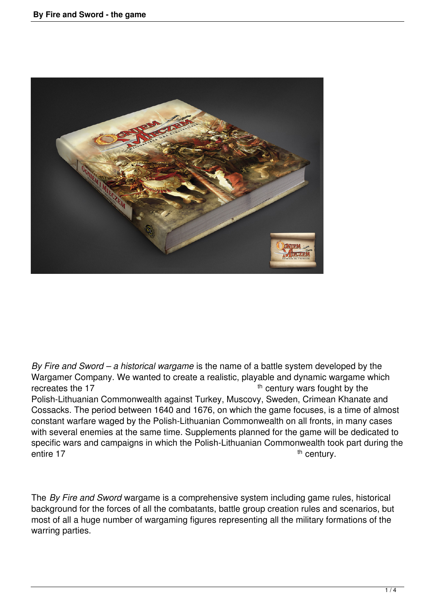

*By Fire and Sword – a historical wargame* is the name of a battle system developed by the Wargamer Company. We wanted to create a realistic, playable and dynamic wargame which recreates the 17  $<sup>th</sup>$  century wars fought by the</sup> Polish-Lithuanian Commonwealth against Turkey, Muscovy, Sweden, Crimean Khanate and Cossacks. The period between 1640 and 1676, on which the game focuses, is a time of almost constant warfare waged by the Polish-Lithuanian Commonwealth on all fronts, in many cases with several enemies at the same time. Supplements planned for the game will be dedicated to specific wars and campaigns in which the Polish-Lithuanian Commonwealth took part during the entire 17 th century.

The *By Fire and Sword* wargame is a comprehensive system including game rules, historical background for the forces of all the combatants, battle group creation rules and scenarios, but most of all a huge number of wargaming figures representing all the military formations of the warring parties.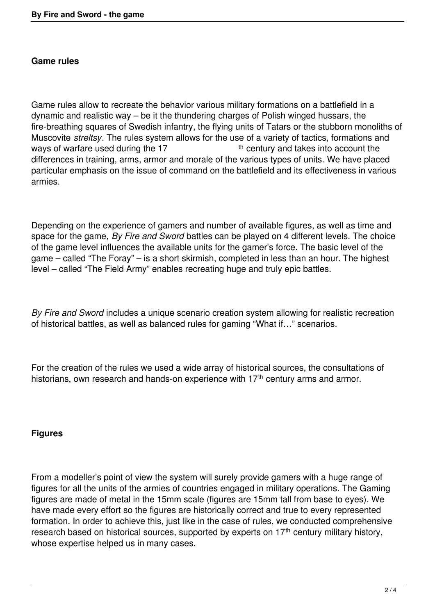## **Game rules**

Game rules allow to recreate the behavior various military formations on a battlefield in a dynamic and realistic way – be it the thundering charges of Polish winged hussars, the fire-breathing squares of Swedish infantry, the flying units of Tatars or the stubborn monoliths of Muscovite *streltsy*. The rules system allows for the use of a variety of tactics, formations and ways of warfare used during the 17  $th$  century and takes into account the differences in training, arms, armor and morale of the various types of units. We have placed particular emphasis on the issue of command on the battlefield and its effectiveness in various armies.

Depending on the experience of gamers and number of available figures, as well as time and space for the game, *By Fire and Sword* battles can be played on 4 different levels. The choice of the game level influences the available units for the gamer's force. The basic level of the game – called "The Foray" – is a short skirmish, completed in less than an hour. The highest level – called "The Field Army" enables recreating huge and truly epic battles.

*By Fire and Sword* includes a unique scenario creation system allowing for realistic recreation of historical battles, as well as balanced rules for gaming "What if…" scenarios.

For the creation of the rules we used a wide array of historical sources, the consultations of historians, own research and hands-on experience with 17<sup>th</sup> century arms and armor.

## **Figures**

From a modeller's point of view the system will surely provide gamers with a huge range of figures for all the units of the armies of countries engaged in military operations. The Gaming figures are made of metal in the 15mm scale (figures are 15mm tall from base to eyes). We have made every effort so the figures are historically correct and true to every represented formation. In order to achieve this, just like in the case of rules, we conducted comprehensive research based on historical sources, supported by experts on  $17<sup>th</sup>$  century military history, whose expertise helped us in many cases.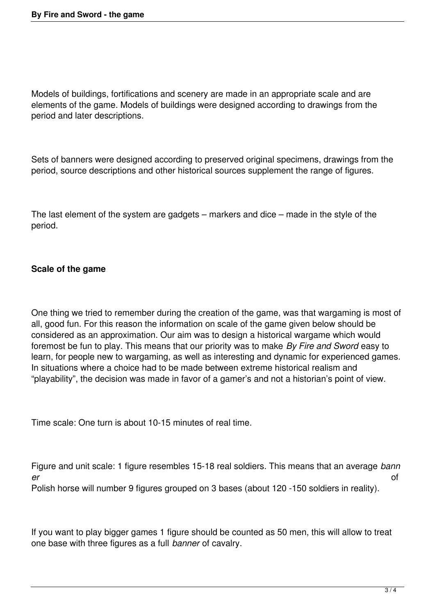Models of buildings, fortifications and scenery are made in an appropriate scale and are elements of the game. Models of buildings were designed according to drawings from the period and later descriptions.

Sets of banners were designed according to preserved original specimens, drawings from the period, source descriptions and other historical sources supplement the range of figures.

The last element of the system are gadgets – markers and dice – made in the style of the period.

## **Scale of the game**

One thing we tried to remember during the creation of the game, was that wargaming is most of all, good fun. For this reason the information on scale of the game given below should be considered as an approximation. Our aim was to design a historical wargame which would foremost be fun to play. This means that our priority was to make *By Fire and Sword* easy to learn, for people new to wargaming, as well as interesting and dynamic for experienced games. In situations where a choice had to be made between extreme historical realism and "playability", the decision was made in favor of a gamer's and not a historian's point of view.

Time scale: One turn is about 10-15 minutes of real time.

Figure and unit scale: 1 figure resembles 15-18 real soldiers. This means that an average *bann er* of Polish horse will number 9 figures grouped on 3 bases (about 120 -150 soldiers in reality).

If you want to play bigger games 1 figure should be counted as 50 men, this will allow to treat one base with three figures as a full *banner* of cavalry.